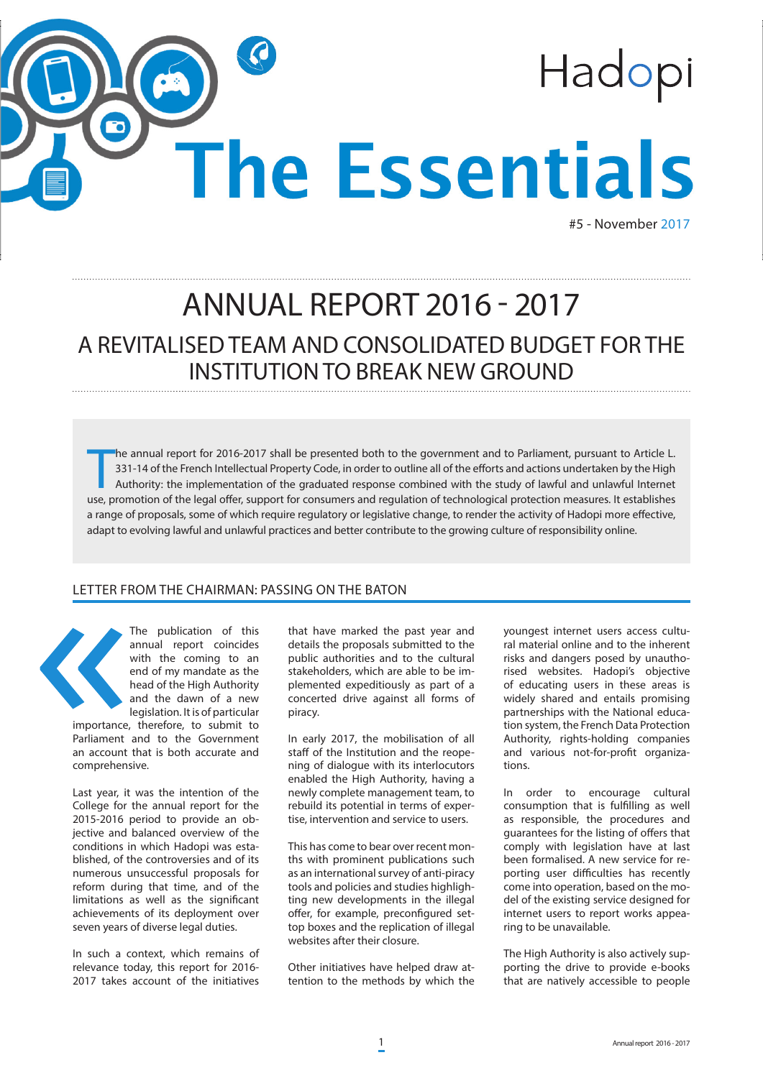

#5 - November 2017

## ANNUAL REPORT 2016 - 2017 A REVITALISED TEAM AND CONSOLIDATED BUDGET FOR THE INSTITUTION TO BREAK NEW GROUND

The annual report for 2016-2017 shall be presented both to the government and to Parliament, pursuant to Article L.<br>331-14 of the French Intellectual Property Code, in order to outline all of the efforts and actions undert he annual report for 2016-2017 shall be presented both to the government and to Parliament, pursuant to Article L. 331-14 of the French Intellectual Property Code, in order to outline all of the efforts and actions undertaken by the High Authority: the implementation of the graduated response combined with the study of lawful and unlawful Internet a range of proposals, some of which require regulatory or legislative change, to render the activity of Hadopi more effective, adapt to evolving lawful and unlawful practices and better contribute to the growing culture of responsibility online.

## LETTER FROM THE CHAIRMAN: PASSING ON THE BATON



The publication of this annual report coincides with the coming to an end of my mandate as the head of the High Authority and the dawn of a new legislation. It is of particular

importance, therefore, to submit to Parliament and to the Government an account that is both accurate and comprehensive.

Last year, it was the intention of the College for the annual report for the 2015-2016 period to provide an objective and balanced overview of the conditions in which Hadopi was established, of the controversies and of its numerous unsuccessful proposals for reform during that time, and of the limitations as well as the significant achievements of its deployment over seven years of diverse legal duties.

In such a context, which remains of relevance today, this report for 2016- 2017 takes account of the initiatives

that have marked the past year and details the proposals submitted to the public authorities and to the cultural stakeholders, which are able to be implemented expeditiously as part of a concerted drive against all forms of piracy.

In early 2017, the mobilisation of all staff of the Institution and the reopening of dialogue with its interlocutors enabled the High Authority, having a newly complete management team, to rebuild its potential in terms of expertise, intervention and service to users.

This has come to bear over recent months with prominent publications such as an international survey of anti-piracy tools and policies and studies highlighting new developments in the illegal offer, for example, preconfigured settop boxes and the replication of illegal websites after their closure.

Other initiatives have helped draw attention to the methods by which the

youngest internet users access cultural material online and to the inherent risks and dangers posed by unauthorised websites. Hadopi's objective of educating users in these areas is widely shared and entails promising partnerships with the National education system, the French Data Protection Authority, rights-holding companies and various not-for-profit organizations.

In order to encourage cultural consumption that is fulfilling as well as responsible, the procedures and guarantees for the listing of offers that comply with legislation have at last been formalised. A new service for reporting user difficulties has recently come into operation, based on the model of the existing service designed for internet users to report works appearing to be unavailable.

The High Authority is also actively supporting the drive to provide e-books that are natively accessible to people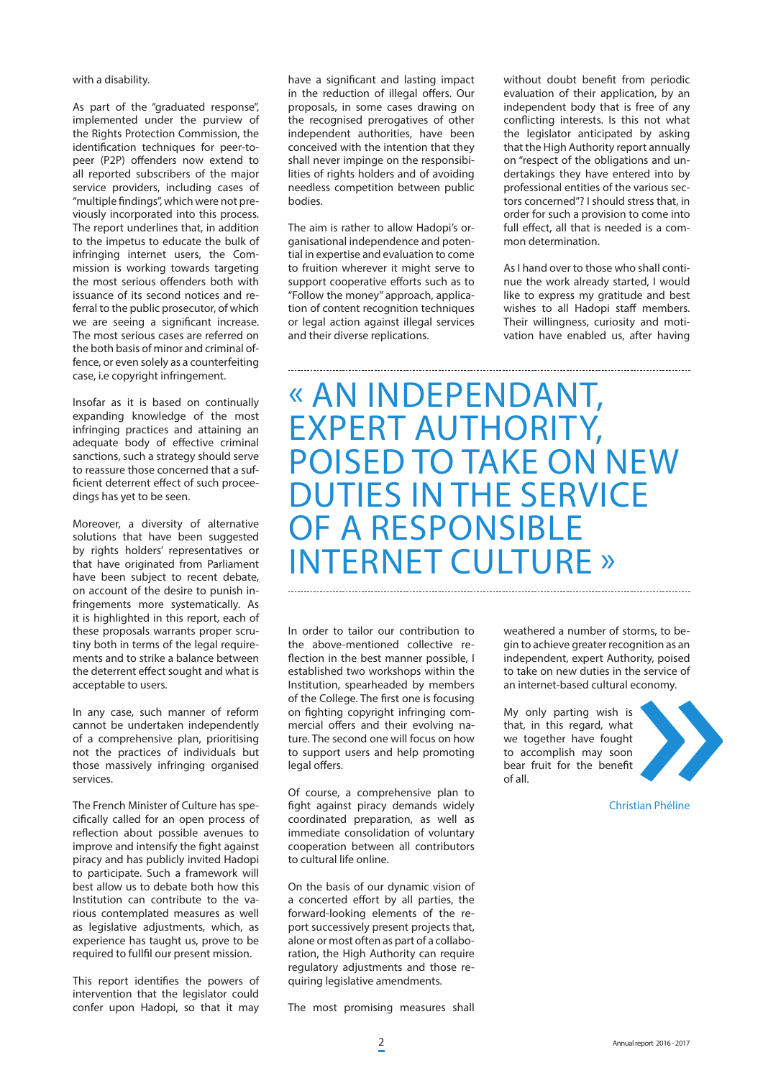with a disability.

As part of the "graduated response", implemented under the purview of the Rights Protection Commission, the identification techniques for peer-topeer (P2P) offenders now extend to all reported subscribers of the major service providers, including cases of "multiple findings", which were not previously incorporated into this process. The report underlines that, in addition to the impetus to educate the bulk of infringing internet users, the Commission is working towards targeting the most serious offenders both with issuance of its second notices and referral to the public prosecutor, of which we are seeing a significant increase. The most serious cases are referred on the both basis of minor and criminal offence, or even solely as a counterfeiting case, i.e copyright infringement.

Insofar as it is based on continually expanding knowledge of the most infringing practices and attaining an adequate body of effective criminal sanctions, such a strategy should serve to reassure those concerned that a sufficient deterrent effect of such proceedings has yet to be seen.

Moreover, a diversity of alternative solutions that have been suggested by rights holders' representatives or that have originated from Parliament have been subject to recent debate, on account of the desire to punish infringements more systematically. As it is highlighted in this report, each of these proposals warrants proper scrutiny both in terms of the legal requirements and to strike a balance between the deterrent effect sought and what is acceptable to users.

In any case, such manner of reform cannot be undertaken independently of a comprehensive plan, prioritising not the practices of individuals but those massively infringing organised services.

The French Minister of Culture has specifically called for an open process of reflection about possible avenues to improve and intensify the fight against piracy and has publicly invited Hadopi to participate. Such a framework will best allow us to debate both how this Institution can contribute to the various contemplated measures as well as legislative adjustments, which, as experience has taught us, prove to be required to fullfil our present mission.

This report identifies the powers of intervention that the legislator could confer upon Hadopi, so that it may have a significant and lasting impact in the reduction of illegal offers. Our proposals, in some cases drawing on the recognised prerogatives of other independent authorities, have been conceived with the intention that they shall never impinge on the responsibilities of rights holders and of avoiding needless competition between public bodies.

The aim is rather to allow Hadopi's organisational independence and potential in expertise and evaluation to come to fruition wherever it might serve to support cooperative efforts such as to "Follow the money" approach, application of content recognition techniques or legal action against illegal services and their diverse replications.

without doubt benefit from periodic evaluation of their application, by an independent body that is free of any conflicting interests. Is this not what the legislator anticipated by asking that the High Authority report annually on "respect of the obligations and undertakings they have entered into by professional entities of the various sectors concerned"? I should stress that, in order for such a provision to come into full effect, all that is needed is a common determination.

As I hand over to those who shall continue the work already started, I would like to express my gratitude and best wishes to all Hadopi staff members. Their willingness, curiosity and motivation have enabled us, after having

« AN INDEPENDANT, EXPERT AUTHORITY, POISED TO TAKE ON NEW DUTIES IN THE SERVICE OF A RESPONSIBLE INTERNET CULTURE »

In order to tailor our contribution to the above-mentioned collective reflection in the best manner possible, I established two workshops within the Institution, spearheaded by members of the College. The first one is focusing on fighting copyright infringing commercial offers and their evolving nature. The second one will focus on how to support users and help promoting legal offers.

Of course, a comprehensive plan to fight against piracy demands widely coordinated preparation, as well as immediate consolidation of voluntary cooperation between all contributors to cultural life online.

On the basis of our dynamic vision of a concerted effort by all parties, the forward-looking elements of the report successively present projects that, alone or most often as part of a collaboration, the High Authority can require regulatory adjustments and those requiring legislative amendments.

The most promising measures shall

weathered a number of storms, to begin to achieve greater recognition as an independent, expert Authority, poised to take on new duties in the service of an internet-based cultural economy.

My only parting wish is that, in this regard, what we together have fought to accomplish may soon bear fruit for the benefit of all.



Christian Phéline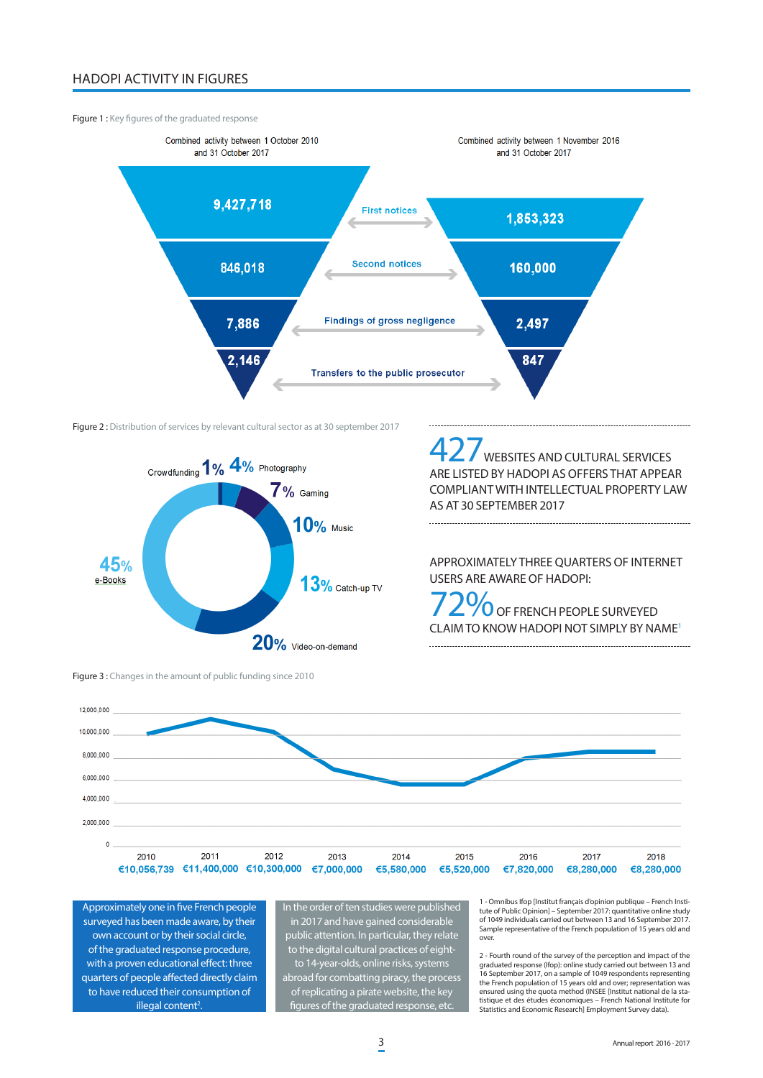## HADOPI ACTIVITY IN FIGURES

## Figure 1 : Key figures of the graduated response



Figure 2 : Distribution of services by relevant cultural sector as at 30 september 2017



Figure 3 : Changes in the amount of public funding since 2010

WEBSITES AND CULTURAL SERVICES ARE LISTED BY HADOPI AS OFFERS THAT APPEAR COMPLIANT WITH INTELLECTUAL PROPERTY LAW AS AT 30 SEPTEMBER 2017

APPROXIMATELY THREE QUARTERS OF INTERNET USERS ARE AWARE OF HADOPI:

 $\overline{O}$  OF FRENCH PEOPLE SURVEYED CLAIM TO KNOW HADOPI NOT SIMPLY BY NAME1 



Approximately one in five French people surveyed has been made aware, by their own account or by their social circle, of the graduated response procedure, with a proven educational effect: three quarters of people affected directly claim to have reduced their consumption of illegal content<sup>2</sup>.

In the order of ten studies were published in 2017 and have gained considerable public attention. In particular, they relate to the digital cultural practices of eightto 14-year-olds, online risks, systems abroad for combatting piracy, the process

of replicating a pirate website, the key figures of the graduated response, e

1 - Omnibus Ifop [Institut français d'opinion publique – French Institute of Public Opinion] – September 2017: quantitative online study of 1049 individuals carried out between 13 and 16 September 2017. Sample representative of the French population of 15 years old and over.

2 - Fourth round of the survey of the perception and impact of the graduated response (Ifop): online study carried out between 13 and 16 September 2017, on a sample of 1049 respondents representing the French population of 15 years old and over; representation was ensured using the quota method (INSEE [Institut national de la statistique et des études économiques – French National Institute for Statistics and Economic Research] Employment Survey data).